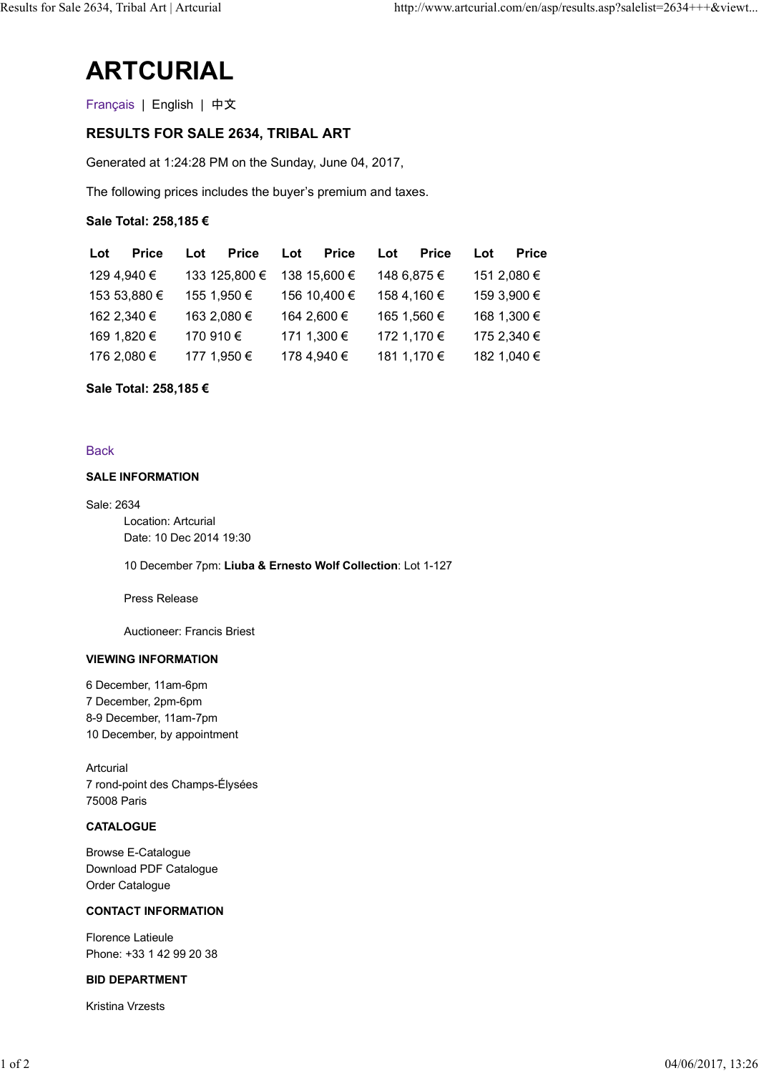# ARTCURIAL

## RESULTS FOR SALE 2634, TRIBAL ART

|                         | 2634, Tribal Art   Artcurial                                 |                     |                     | http://www.artcurial.com/en/asp/results.asp?salelist=2634+++&viewt |  |
|-------------------------|--------------------------------------------------------------|---------------------|---------------------|--------------------------------------------------------------------|--|
| <b>ARTCURIAL</b>        |                                                              |                     |                     |                                                                    |  |
| Français   English   中文 |                                                              |                     |                     |                                                                    |  |
|                         | <b>RESULTS FOR SALE 2634, TRIBAL ART</b>                     |                     |                     |                                                                    |  |
|                         | Generated at 1:24:28 PM on the Sunday, June 04, 2017,        |                     |                     |                                                                    |  |
|                         | The following prices includes the buyer's premium and taxes. |                     |                     |                                                                    |  |
| Sale Total: 258,185 €   |                                                              |                     |                     |                                                                    |  |
| <b>Price</b><br>Lot     | <b>Price</b><br>Lot                                          | <b>Price</b><br>Lot | <b>Price</b><br>Lot | <b>Price</b><br>Lot                                                |  |
| 129 4,940 €             | 133 125,800 €                                                | 138 15,600 €        | 148 6,875 €         | 151 2,080 €                                                        |  |
| 153 53,880 €            | 155 1,950 €                                                  | 156 10,400 €        | 158 4,160 €         | 159 3,900 €                                                        |  |
| 162 2,340 €             | 163 2,080 €                                                  | 164 2,600 €         | 165 1,560 €         | 168 1,300 €                                                        |  |
|                         | 170 910 €                                                    | 171 1,300 €         | 172 1,170 €         | 175 2,340 €                                                        |  |
| 169 1,820 €             |                                                              |                     |                     |                                                                    |  |

## Sale Total: 258,185 €

#### **Back**

#### SALE INFORMATION

Sale: 2634 Location: Artcurial Date: 10 Dec 2014 19:30

10 December 7pm: Liuba & Ernesto Wolf Collection: Lot 1-127

Press Release

Auctioneer: Francis Briest

#### VIEWING INFORMATION

6 December, 11am-6pm 7 December, 2pm-6pm 8-9 December, 11am-7pm 10 December, by appointment

Artcurial 7 rond-point des Champs-Élysées 75008 Paris 10 December, by appointment<br>
7 rond-point des Champs-Élysées<br>
75008 Paris<br> **CATALOGUE**<br>
Browse E-Catalogue<br>
Download PDE Catalogue<br>
Order Catalogue<br>
CONTACT INFORMATION<br>
Florence Latieule<br>
Phone: +33 1 42 99 20 38<br> **BID DE** 

#### **CATALOGUE**

Browse E-Catalogue Download PDF Catalogue Order Catalogue

#### CONTACT INFORMATION

Florence Latieule Phone: +33 1 42 99 20 38

#### BID DEPARTMENT

Kristina Vrzests